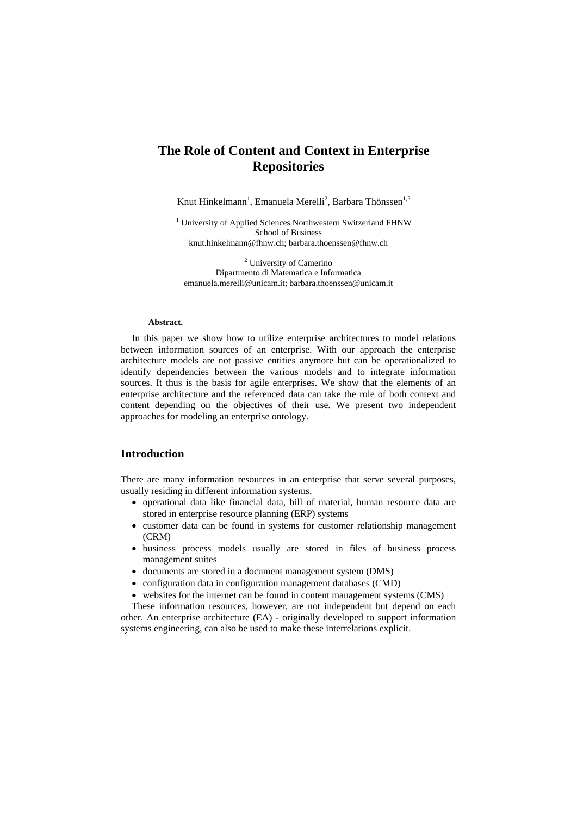# **The Role of Content and Context in Enterprise Repositories**

Knut Hinkelmann<sup>1</sup>, Emanuela Merelli<sup>2</sup>, Barbara Thönssen<sup>1,2</sup>

<sup>1</sup> University of Applied Sciences Northwestern Switzerland FHNW School of Business knut.hinkelmann@fhnw.ch; barbara.thoenssen@fhnw.ch

<sup>2</sup> University of Camerino Dipartmento di Matematica e Informatica emanuela.merelli@unicam.it; barbara.thoenssen@unicam.it

#### **Abstract.**

In this paper we show how to utilize enterprise architectures to model relations between information sources of an enterprise. With our approach the enterprise architecture models are not passive entities anymore but can be operationalized to identify dependencies between the various models and to integrate information sources. It thus is the basis for agile enterprises. We show that the elements of an enterprise architecture and the referenced data can take the role of both context and content depending on the objectives of their use. We present two independent approaches for modeling an enterprise ontology.

### **Introduction**

There are many information resources in an enterprise that serve several purposes, usually residing in different information systems.

- operational data like financial data, bill of material, human resource data are stored in enterprise resource planning (ERP) systems
- customer data can be found in systems for customer relationship management (CRM)
- business process models usually are stored in files of business process management suites
- documents are stored in a document management system (DMS)
- configuration data in configuration management databases (CMD)
- websites for the internet can be found in content management systems (CMS)

These information resources, however, are not independent but depend on each other. An enterprise architecture (EA) - originally developed to support information systems engineering, can also be used to make these interrelations explicit.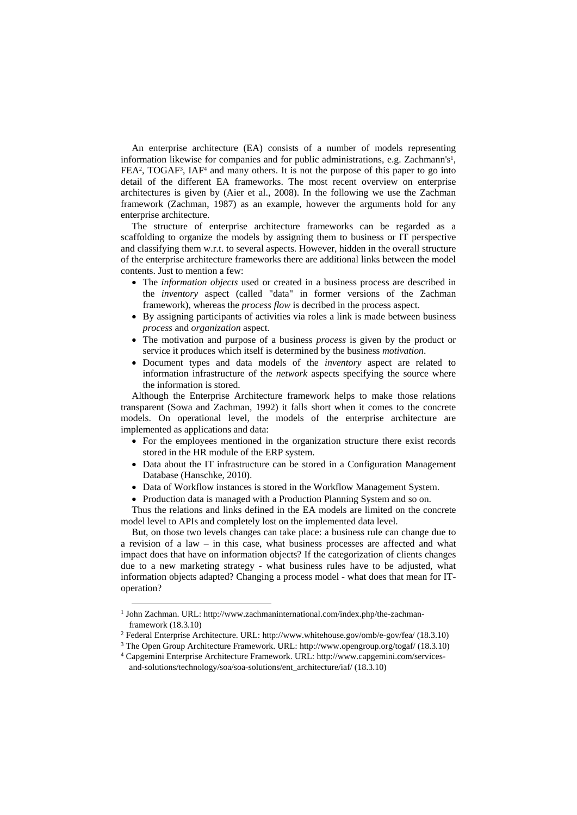An enterprise architecture (EA) consists of a number of models representing information likewise for companies and for public administrations, e.g. Zachmann's<sup>1</sup>, FEA<sup>2</sup>, TOGAF<sup>3</sup>, IAF<sup>4</sup> and many others. It is not the purpose of this paper to go into detail of the different EA frameworks. The most recent overview on enterprise architectures is given by (Aier et al., 2008). In the following we use the Zachman framework (Zachman, 1987) as an example, however the arguments hold for any enterprise architecture.

The structure of enterprise architecture frameworks can be regarded as a scaffolding to organize the models by assigning them to business or IT perspective and classifying them w.r.t. to several aspects. However, hidden in the overall structure of the enterprise architecture frameworks there are additional links between the model contents. Just to mention a few:

- The *information objects* used or created in a business process are described in the *inventory* aspect (called "data" in former versions of the Zachman framework), whereas the *process flow* is decribed in the process aspect.
- By assigning participants of activities via roles a link is made between business *process* and *organization* aspect.
- The motivation and purpose of a business *process* is given by the product or service it produces which itself is determined by the business *motivation*.
- Document types and data models of the *inventory* aspect are related to information infrastructure of the *network* aspects specifying the source where the information is stored.

Although the Enterprise Architecture framework helps to make those relations transparent (Sowa and Zachman, 1992) it falls short when it comes to the concrete models. On operational level, the models of the enterprise architecture are implemented as applications and data:

- For the employees mentioned in the organization structure there exist records stored in the HR module of the ERP system.
- Data about the IT infrastructure can be stored in a Configuration Management Database (Hanschke, 2010).
- Data of Workflow instances is stored in the Workflow Management System.
- Production data is managed with a Production Planning System and so on.

Thus the relations and links defined in the EA models are limited on the concrete model level to APIs and completely lost on the implemented data level.

But, on those two levels changes can take place: a business rule can change due to a revision of a law – in this case, what business processes are affected and what impact does that have on information objects? If the categorization of clients changes due to a new marketing strategy - what business rules have to be adjusted, what information objects adapted? Changing a process model - what does that mean for IToperation?

<sup>&</sup>lt;sup>1</sup> John Zachman. URL: http://www.zachmaninternational.com/index.php/the-zachman-

framework (18.3.10)<br>
<sup>2</sup> Federal Enterprise Architecture. URL: http://www.whitehouse.gov/omb/e-gov/fea/ (18.3.10)<br>
<sup>3</sup> The Open Group Architecture Framework. URL: http://www.opengroup.org/togaf/ (18.3.10)<br>
<sup>4</sup> Capgemini En

and-solutions/technology/soa/soa-solutions/ent\_architecture/iaf/ (18.3.10)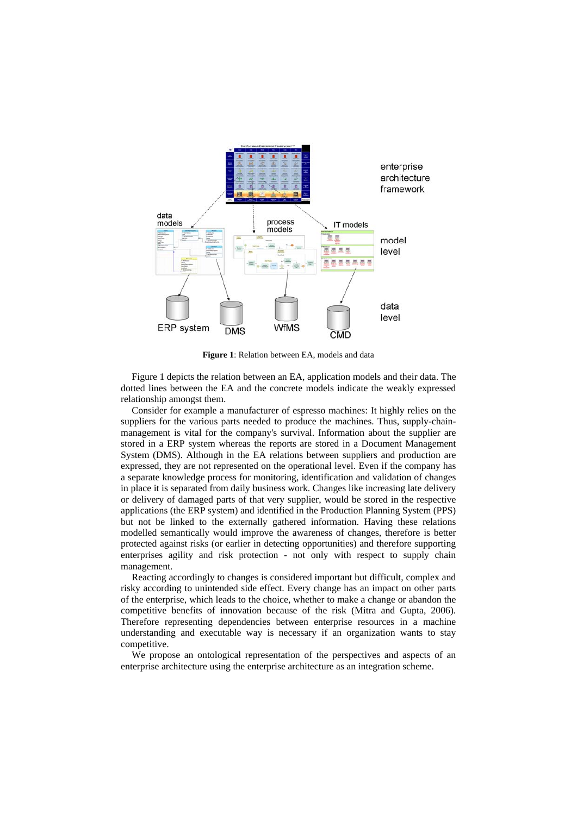

**Figure 1**: Relation between EA, models and data

Figure 1 depicts the relation between an EA, application models and their data. The dotted lines between the EA and the concrete models indicate the weakly expressed relationship amongst them.

Consider for example a manufacturer of espresso machines: It highly relies on the suppliers for the various parts needed to produce the machines. Thus, supply-chainmanagement is vital for the company's survival. Information about the supplier are stored in a ERP system whereas the reports are stored in a Document Management System (DMS). Although in the EA relations between suppliers and production are expressed, they are not represented on the operational level. Even if the company has a separate knowledge process for monitoring, identification and validation of changes in place it is separated from daily business work. Changes like increasing late delivery or delivery of damaged parts of that very supplier, would be stored in the respective applications (the ERP system) and identified in the Production Planning System (PPS) but not be linked to the externally gathered information. Having these relations modelled semantically would improve the awareness of changes, therefore is better protected against risks (or earlier in detecting opportunities) and therefore supporting enterprises agility and risk protection - not only with respect to supply chain management.

Reacting accordingly to changes is considered important but difficult, complex and risky according to unintended side effect. Every change has an impact on other parts of the enterprise, which leads to the choice, whether to make a change or abandon the competitive benefits of innovation because of the risk (Mitra and Gupta, 2006). Therefore representing dependencies between enterprise resources in a machine understanding and executable way is necessary if an organization wants to stay competitive.

We propose an ontological representation of the perspectives and aspects of an enterprise architecture using the enterprise architecture as an integration scheme.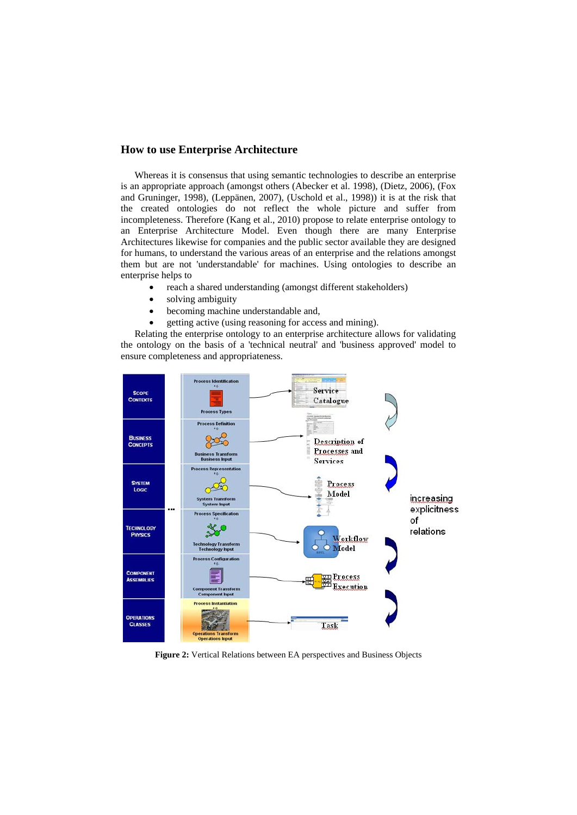### **How to use Enterprise Architecture**

Whereas it is consensus that using semantic technologies to describe an enterprise is an appropriate approach (amongst others (Abecker et al. 1998), (Dietz, 2006), (Fox and Gruninger, 1998), (Leppänen, 2007), (Uschold et al., 1998)) it is at the risk that the created ontologies do not reflect the whole picture and suffer from incompleteness. Therefore (Kang et al., 2010) propose to relate enterprise ontology to an Enterprise Architecture Model. Even though there are many Enterprise Architectures likewise for companies and the public sector available they are designed for humans, to understand the various areas of an enterprise and the relations amongst them but are not 'understandable' for machines. Using ontologies to describe an enterprise helps to

- reach a shared understanding (amongst different stakeholders)
- solving ambiguity
- becoming machine understandable and,
- getting active (using reasoning for access and mining).

Relating the enterprise ontology to an enterprise architecture allows for validating the ontology on the basis of a 'technical neutral' and 'business approved' model to ensure completeness and appropriateness.



**Figure 2:** Vertical Relations between EA perspectives and Business Objects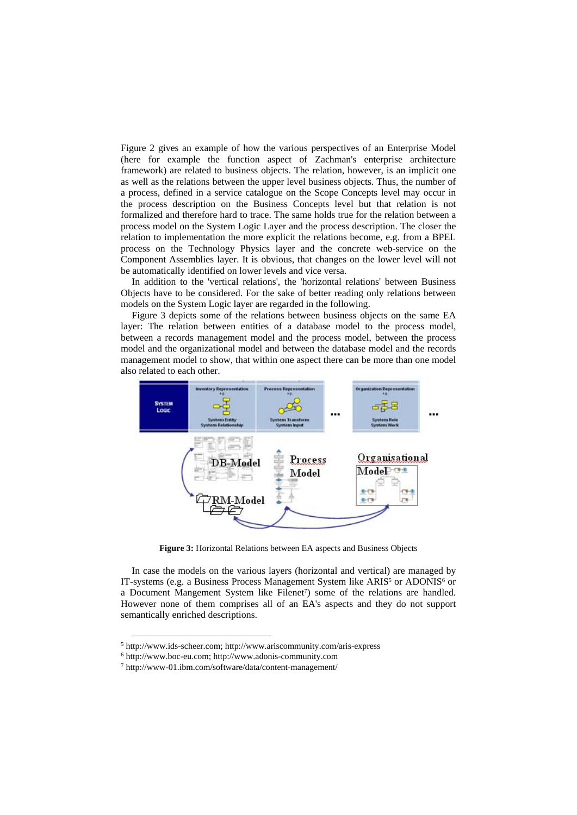Figure 2 gives an example of how the various perspectives of an Enterprise Model (here for example the function aspect of Zachman's enterprise architecture framework) are related to business objects. The relation, however, is an implicit one as well as the relations between the upper level business objects. Thus, the number of a process, defined in a service catalogue on the Scope Concepts level may occur in the process description on the Business Concepts level but that relation is not formalized and therefore hard to trace. The same holds true for the relation between a process model on the System Logic Layer and the process description. The closer the relation to implementation the more explicit the relations become, e.g. from a BPEL process on the Technology Physics layer and the concrete web-service on the Component Assemblies layer. It is obvious, that changes on the lower level will not be automatically identified on lower levels and vice versa.

In addition to the 'vertical relations', the 'horizontal relations' between Business Objects have to be considered. For the sake of better reading only relations between models on the System Logic layer are regarded in the following.

Figure 3 depicts some of the relations between business objects on the same EA layer: The relation between entities of a database model to the process model, between a records management model and the process model, between the process model and the organizational model and between the database model and the records management model to show, that within one aspect there can be more than one model also related to each other.



**Figure 3:** Horizontal Relations between EA aspects and Business Objects

In case the models on the various layers (horizontal and vertical) are managed by IT-systems (e.g. a Business Process Management System like ARIS<sup>5</sup> or ADONIS<sup>6</sup> or a Document Mangement System like Filenet<sup>7</sup>) some of the relations are handled. However none of them comprises all of an EA's aspects and they do not support semantically enriched descriptions.

 $^5$ http://www.ids-scheer.com; http://www.ariscommunity.com/aris-express  $^6$ http://www.boc-eu.com; http://www.adonis-community.com  $^7$  http://www-01.ibm.com/software/data/content-management/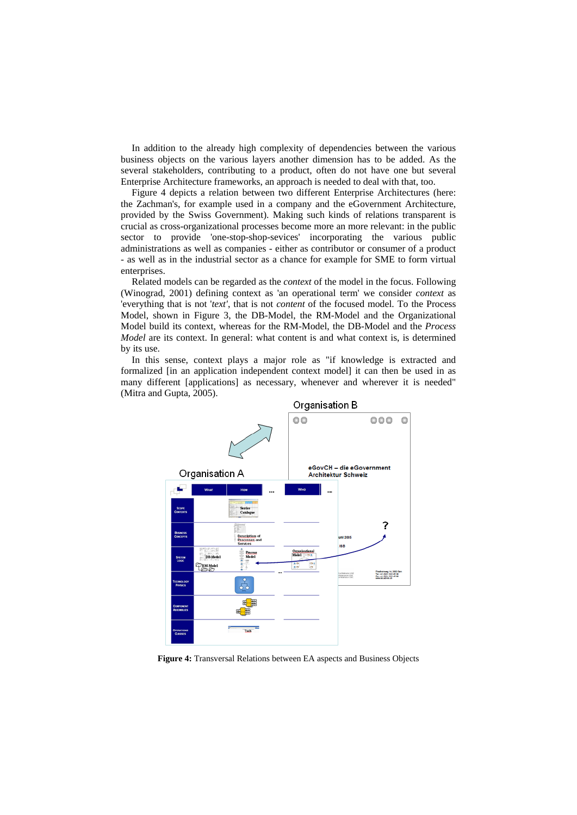In addition to the already high complexity of dependencies between the various business objects on the various layers another dimension has to be added. As the several stakeholders, contributing to a product, often do not have one but several Enterprise Architecture frameworks, an approach is needed to deal with that, too.

Figure 4 depicts a relation between two different Enterprise Architectures (here: the Zachman's, for example used in a company and the eGovernment Architecture, provided by the Swiss Government). Making such kinds of relations transparent is crucial as cross-organizational processes become more an more relevant: in the public sector to provide 'one-stop-shop-sevices' incorporating the various public administrations as well as companies - either as contributor or consumer of a product - as well as in the industrial sector as a chance for example for SME to form virtual enterprises.

Related models can be regarded as the *context* of the model in the focus. Following (Winograd, 2001) defining context as 'an operational term' we consider *context* as 'everything that is not '*text'*, that is not *content* of the focused model. To the Process Model, shown in Figure 3, the DB-Model, the RM-Model and the Organizational Model build its context, whereas for the RM-Model, the DB-Model and the *Process Model* are its context. In general: what content is and what context is, is determined by its use.

In this sense, context plays a major role as "if knowledge is extracted and formalized [in an application independent context model] it can then be used in as many different [applications] as necessary, whenever and wherever it is needed" (Mitra and Gupta, 2005).



**Figure 4:** Transversal Relations between EA aspects and Business Objects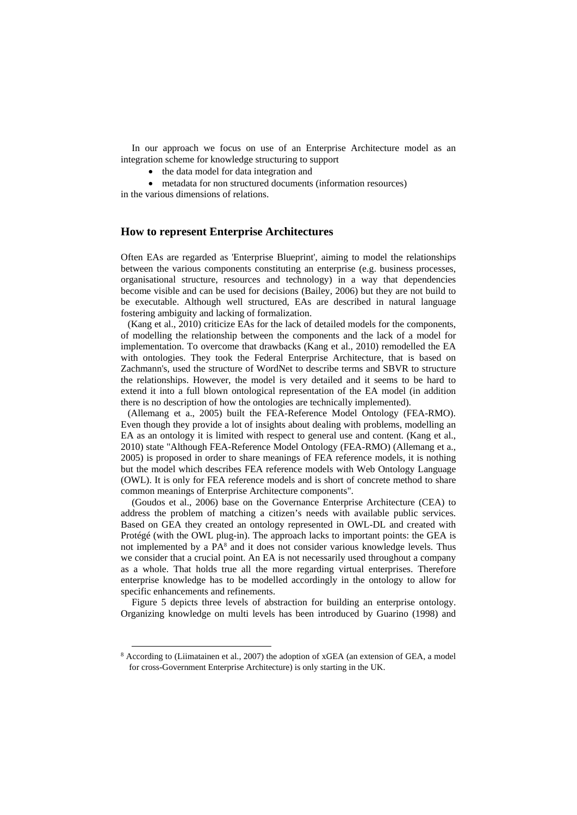In our approach we focus on use of an Enterprise Architecture model as an integration scheme for knowledge structuring to support

- the data model for data integration and
- metadata for non structured documents (information resources) in the various dimensions of relations.

### **How to represent Enterprise Architectures**

Often EAs are regarded as 'Enterprise Blueprint', aiming to model the relationships between the various components constituting an enterprise (e.g. business processes, organisational structure, resources and technology) in a way that dependencies become visible and can be used for decisions (Bailey, 2006) but they are not build to be executable. Although well structured, EAs are described in natural language fostering ambiguity and lacking of formalization.

(Kang et al., 2010) criticize EAs for the lack of detailed models for the components, of modelling the relationship between the components and the lack of a model for implementation. To overcome that drawbacks (Kang et al., 2010) remodelled the EA with ontologies. They took the Federal Enterprise Architecture, that is based on Zachmann's, used the structure of WordNet to describe terms and SBVR to structure the relationships. However, the model is very detailed and it seems to be hard to extend it into a full blown ontological representation of the EA model (in addition there is no description of how the ontologies are technically implemented).

(Allemang et a., 2005) built the FEA-Reference Model Ontology (FEA-RMO). Even though they provide a lot of insights about dealing with problems, modelling an EA as an ontology it is limited with respect to general use and content. (Kang et al., 2010) state "Although FEA-Reference Model Ontology (FEA-RMO) (Allemang et a., 2005) is proposed in order to share meanings of FEA reference models, it is nothing but the model which describes FEA reference models with Web Ontology Language (OWL). It is only for FEA reference models and is short of concrete method to share common meanings of Enterprise Architecture components".

(Goudos et al., 2006) base on the Governance Enterprise Architecture (CEA) to address the problem of matching a citizen's needs with available public services. Based on GEA they created an ontology represented in OWL-DL and created with Protégé (with the OWL plug-in). The approach lacks to important points: the GEA is not implemented by a PA8 and it does not consider various knowledge levels. Thus we consider that a crucial point. An EA is not necessarily used throughout a company as a whole. That holds true all the more regarding virtual enterprises. Therefore enterprise knowledge has to be modelled accordingly in the ontology to allow for specific enhancements and refinements.

Figure 5 depicts three levels of abstraction for building an enterprise ontology. Organizing knowledge on multi levels has been introduced by Guarino (1998) and

<sup>&</sup>lt;sup>8</sup> According to (Liimatainen et al., 2007) the adoption of xGEA (an extension of GEA, a model for cross-Government Enterprise Architecture) is only starting in the UK.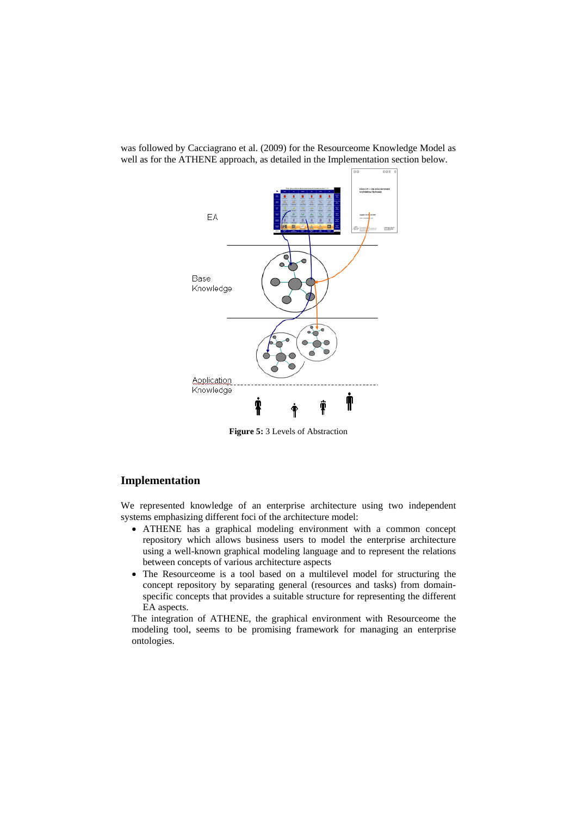

was followed by Cacciagrano et al. (2009) for the Resourceome Knowledge Model as well as for the ATHENE approach, as detailed in the Implementation section below.

**Figure 5:** 3 Levels of Abstraction

### **Implementation**

We represented knowledge of an enterprise architecture using two independent systems emphasizing different foci of the architecture model:

- ATHENE has a graphical modeling environment with a common concept repository which allows business users to model the enterprise architecture using a well-known graphical modeling language and to represent the relations between concepts of various architecture aspects
- The Resourceome is a tool based on a multilevel model for structuring the concept repository by separating general (resources and tasks) from domainspecific concepts that provides a suitable structure for representing the different EA aspects.

The integration of ATHENE, the graphical environment with Resourceome the modeling tool, seems to be promising framework for managing an enterprise ontologies.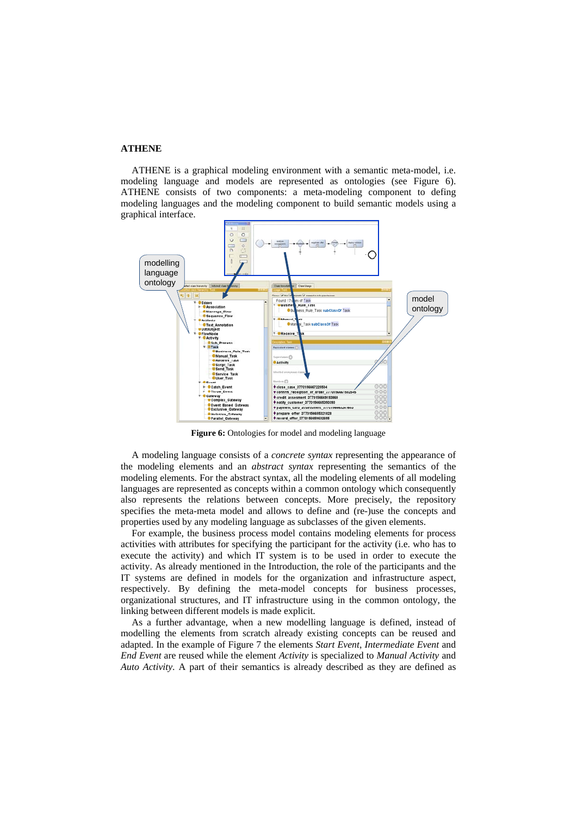#### **ATHENE**

ATHENE is a graphical modeling environment with a semantic meta-model, i.e. modeling language and models are represented as ontologies (see Figure 6). ATHENE consists of two components: a meta-modeling component to defing modeling languages and the modeling component to build semantic models using a graphical interface.



**Figure 6:** Ontologies for model and modeling language

A modeling language consists of a *concrete syntax* representing the appearance of the modeling elements and an *abstract syntax* representing the semantics of the modeling elements. For the abstract syntax, all the modeling elements of all modeling languages are represented as concepts within a common ontology which consequently also represents the relations between concepts. More precisely, the repository specifies the meta-meta model and allows to define and (re-)use the concepts and properties used by any modeling language as subclasses of the given elements.

For example, the business process model contains modeling elements for process activities with attributes for specifying the participant for the activity (i.e. who has to execute the activity) and which IT system is to be used in order to execute the activity. As already mentioned in the Introduction, the role of the participants and the IT systems are defined in models for the organization and infrastructure aspect, respectively. By defining the meta-model concepts for business processes, organizational structures, and IT infrastructure using in the common ontology, the linking between different models is made explicit.

As a further advantage, when a new modelling language is defined, instead of modelling the elements from scratch already existing concepts can be reused and adapted. In the example of Figure 7 the elements *Start Event*, *Intermediate Event* and *End Event* are reused while the element *Activity* is specialized to *Manual Activity* and *Auto Activity*. A part of their semantics is already described as they are defined as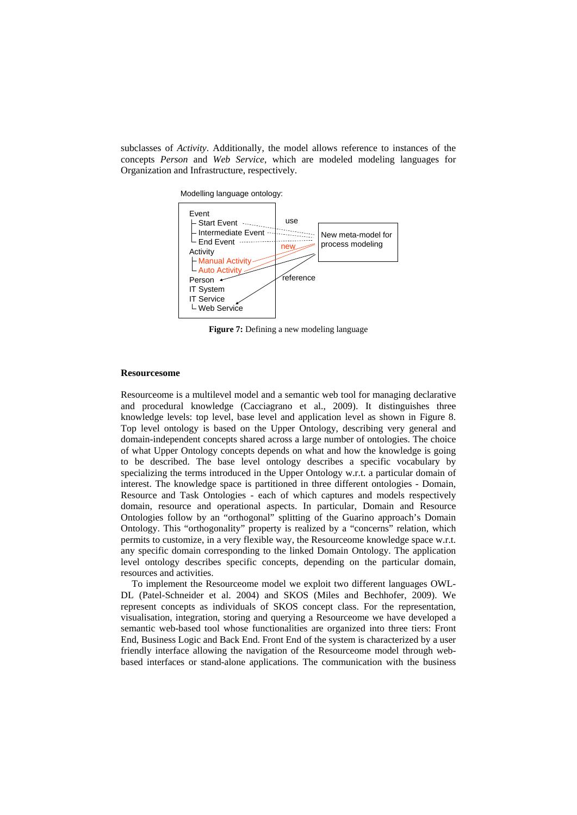subclasses of *Activity*. Additionally, the model allows reference to instances of the concepts *Person* and *Web Service*, which are modeled modeling languages for Organization and Infrastructure, respectively.



**Figure 7:** Defining a new modeling language

#### **Resourcesome**

Resourceome is a multilevel model and a semantic web tool for managing declarative and procedural knowledge (Cacciagrano et al., 2009). It distinguishes three knowledge levels: top level, base level and application level as shown in Figure 8. Top level ontology is based on the Upper Ontology, describing very general and domain-independent concepts shared across a large number of ontologies. The choice of what Upper Ontology concepts depends on what and how the knowledge is going to be described. The base level ontology describes a specific vocabulary by specializing the terms introduced in the Upper Ontology w.r.t. a particular domain of interest. The knowledge space is partitioned in three different ontologies - Domain, Resource and Task Ontologies - each of which captures and models respectively domain, resource and operational aspects. In particular, Domain and Resource Ontologies follow by an "orthogonal" splitting of the Guarino approach's Domain Ontology. This "orthogonality" property is realized by a "concerns" relation, which permits to customize, in a very flexible way, the Resourceome knowledge space w.r.t. any specific domain corresponding to the linked Domain Ontology. The application level ontology describes specific concepts, depending on the particular domain, resources and activities.

To implement the Resourceome model we exploit two different languages OWL-DL (Patel-Schneider et al. 2004) and SKOS (Miles and Bechhofer, 2009). We represent concepts as individuals of SKOS concept class. For the representation, visualisation, integration, storing and querying a Resourceome we have developed a semantic web-based tool whose functionalities are organized into three tiers: Front End, Business Logic and Back End. Front End of the system is characterized by a user friendly interface allowing the navigation of the Resourceome model through webbased interfaces or stand-alone applications. The communication with the business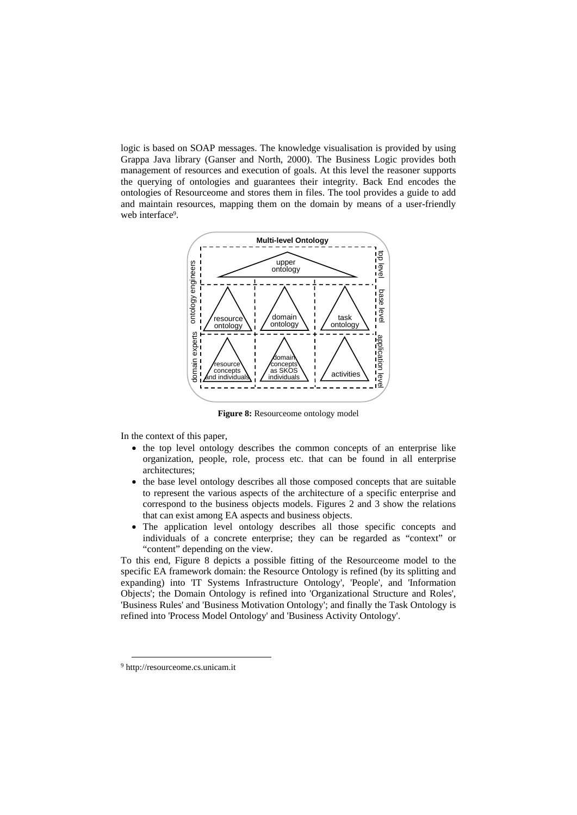logic is based on SOAP messages. The knowledge visualisation is provided by using Grappa Java library (Ganser and North, 2000). The Business Logic provides both management of resources and execution of goals. At this level the reasoner supports the querying of ontologies and guarantees their integrity. Back End encodes the ontologies of Resourceome and stores them in files. The tool provides a guide to add and maintain resources, mapping them on the domain by means of a user-friendly web interface<sup>9</sup>.



Figure 8: Resourceome ontology model

In the context of this paper,

- the top level ontology describes the common concepts of an enterprise like organization, people, role, process etc. that can be found in all enterprise architectures;
- the base level ontology describes all those composed concepts that are suitable to represent the various aspects of the architecture of a specific enterprise and correspond to the business objects models. Figures 2 and 3 show the relations that can exist among EA aspects and business objects.
- The application level ontology describes all those specific concepts and individuals of a concrete enterprise; they can be regarded as "context" or "content" depending on the view.

To this end, Figure 8 depicts a possible fitting of the Resourceome model to the specific EA framework domain: the Resource Ontology is refined (by its splitting and expanding) into 'IT Systems Infrastructure Ontology', 'People', and 'Information Objects'; the Domain Ontology is refined into 'Organizational Structure and Roles', 'Business Rules' and 'Business Motivation Ontology'; and finally the Task Ontology is refined into 'Process Model Ontology' and 'Business Activity Ontology'.

 <sup>9</sup> http://resourceome.cs.unicam.it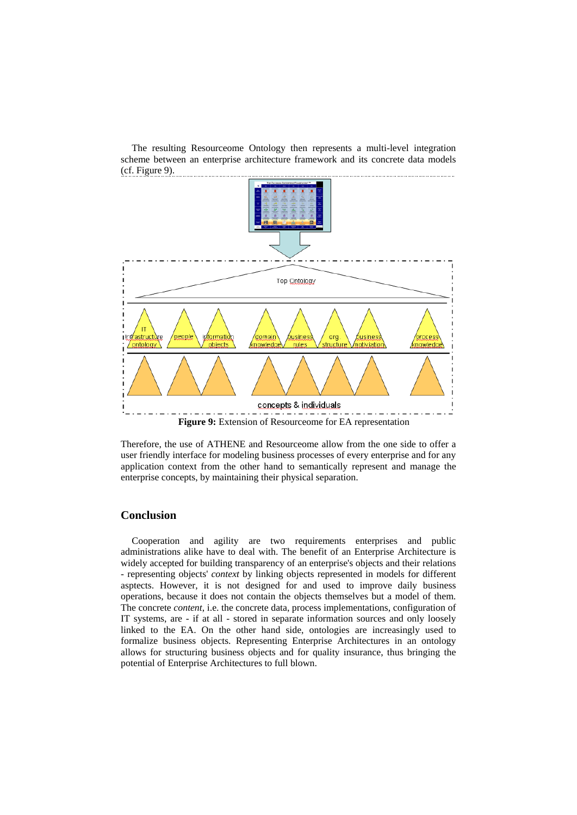The resulting Resourceome Ontology then represents a multi-level integration scheme between an enterprise architecture framework and its concrete data models (cf. Figure 9).



**Figure 9:** Extension of Resourceome for EA representation

Therefore, the use of ATHENE and Resourceome allow from the one side to offer a user friendly interface for modeling business processes of every enterprise and for any application context from the other hand to semantically represent and manage the enterprise concepts, by maintaining their physical separation.

## **Conclusion**

Cooperation and agility are two requirements enterprises and public administrations alike have to deal with. The benefit of an Enterprise Architecture is widely accepted for building transparency of an enterprise's objects and their relations - representing objects' *context* by linking objects represented in models for different asptects. However, it is not designed for and used to improve daily business operations, because it does not contain the objects themselves but a model of them. The concrete *content*, i.e. the concrete data, process implementations, configuration of IT systems, are - if at all - stored in separate information sources and only loosely linked to the EA. On the other hand side, ontologies are increasingly used to formalize business objects. Representing Enterprise Architectures in an ontology allows for structuring business objects and for quality insurance, thus bringing the potential of Enterprise Architectures to full blown.